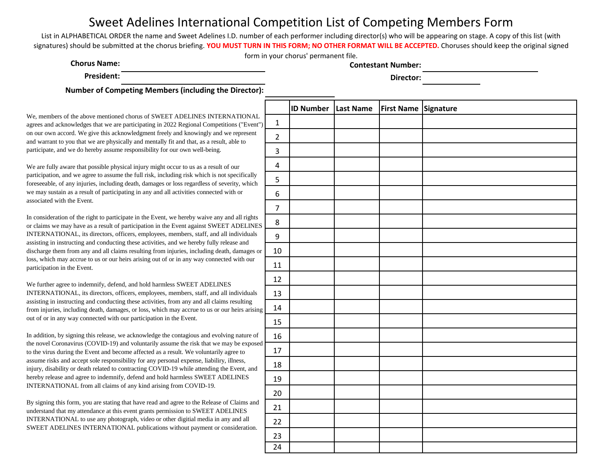List in ALPHABETICAL ORDER the name and Sweet Adelines I.D. number of each performer including director(s) who will be appearing on stage. A copy of this list (with signatures) should be submitted at the chorus briefing. **YOU MUST TURN IN THIS FORM; NO OTHER FORMAT WILL BE ACCEPTED.** Choruses should keep the original signed form in your chorus' permanent file.

**Chorus Name: Contestant Number:**

**President: Director:**

**Number of Competing Members (including the Director):** 

We, members of the above mentioned chorus of SWEET ADELINES INTERNATIONAL agrees and acknowledges that we are participating in 2022 Regional Competitions ("Event") on our own accord. We give this acknowledgment freely and knowingly and we represent and warrant to you that we are physically and mentally fit and that, as a result, able to participate, and we do hereby assume responsibility for our own well-being.

We are fully aware that possible physical injury might occur to us as a result of our participation, and we agree to assume the full risk, including risk which is not specifically foreseeable, of any injuries, including death, damages or loss regardless of severity, which we may sustain as a result of participating in any and all activities connected with or associated with the Event.

In consideration of the right to participate in the Event, we hereby waive any and all rights or claims we may have as a result of participation in the Event against SWEET ADELINES INTERNATIONAL, its directors, officers, employees, members, staff, and all individuals assisting in instructing and conducting these activities, and we hereby fully release and discharge them from any and all claims resulting from injuries, including death, damages or loss, which may accrue to us or our heirs arising out of or in any way connected with our participation in the Event.

We further agree to indemnify, defend, and hold harmless SWEET ADELINES INTERNATIONAL, its directors, officers, employees, members, staff, and all individuals assisting in instructing and conducting these activities, from any and all claims resulting from injuries, including death, damages, or loss, which may accrue to us or our heirs arising out of or in any way connected with our participation in the Event.

In addition, by signing this release, we acknowledge the contagious and evolving nature of the novel Coronavirus (COVID-19) and voluntarily assume the risk that we may be exposed to the virus during the Event and become affected as a result. We voluntarily agree to assume risks and accept sole responsibility for any personal expense, liabiliry, illness, injury, disability or death related to contracting COVID-19 while attending the Event, and hereby release and agree to indemnify, defend and hold harmless SWEET ADELINES INTERNATIONAL from all claims of any kind arising from COVID-19.

|                         | <b>ID Number</b> | Last Name | First Name Signature |  |
|-------------------------|------------------|-----------|----------------------|--|
| $\mathbf 1$             |                  |           |                      |  |
| $\mathbf 2$             |                  |           |                      |  |
| $\mathsf 3$             |                  |           |                      |  |
| $\overline{\mathbf{4}}$ |                  |           |                      |  |
| 5                       |                  |           |                      |  |
| 6                       |                  |           |                      |  |
| $\overline{7}$          |                  |           |                      |  |
| 8                       |                  |           |                      |  |
| $\boldsymbol{9}$        |                  |           |                      |  |
| $10\,$                  |                  |           |                      |  |
| $11\,$                  |                  |           |                      |  |
| 12                      |                  |           |                      |  |
| 13                      |                  |           |                      |  |
| $14\,$                  |                  |           |                      |  |
| 15                      |                  |           |                      |  |
| 16                      |                  |           |                      |  |
| $17\,$                  |                  |           |                      |  |
| 18                      |                  |           |                      |  |
| 19                      |                  |           |                      |  |
| 20                      |                  |           |                      |  |
| 21                      |                  |           |                      |  |
| 22                      |                  |           |                      |  |
| 23                      |                  |           |                      |  |
| 24                      |                  |           |                      |  |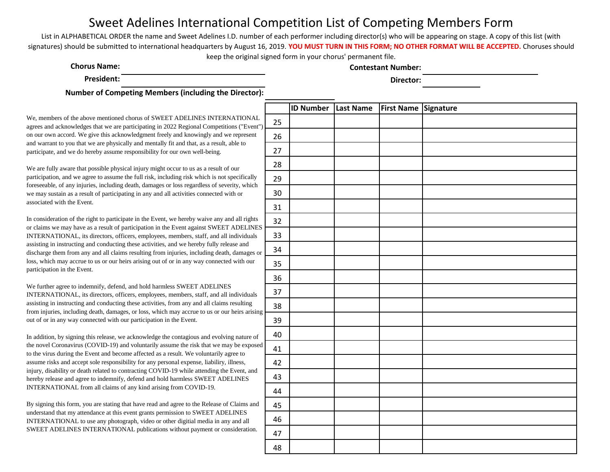List in ALPHABETICAL ORDER the name and Sweet Adelines I.D. number of each performer including director(s) who will be appearing on stage. A copy of this list (with signatures) should be submitted to international headquarters by August 16, 2019. **YOU MUST TURN IN THIS FORM; NO OTHER FORMAT WILL BE ACCEPTED.** Choruses should keep the original signed form in your chorus' permanent file.

**Chorus Name:**

**Contestant Number:**

**President: Director:**

**Number of Competing Members (including the Director):** 

We, members of the above mentioned chorus of SWEET ADELINES INTERNATIONAL agrees and acknowledges that we are participating in 2022 Regional Competitions ("Event") on our own accord. We give this acknowledgment freely and knowingly and we represent and warrant to you that we are physically and mentally fit and that, as a result, able to participate, and we do hereby assume responsibility for our own well-being.

We are fully aware that possible physical injury might occur to us as a result of our participation, and we agree to assume the full risk, including risk which is not specifically foreseeable, of any injuries, including death, damages or loss regardless of severity, which we may sustain as a result of participating in any and all activities connected with or associated with the Event.

In consideration of the right to participate in the Event, we hereby waive any and all rights or claims we may have as a result of participation in the Event against SWEET ADELINES INTERNATIONAL, its directors, officers, employees, members, staff, and all individuals assisting in instructing and conducting these activities, and we hereby fully release and discharge them from any and all claims resulting from injuries, including death, damages or loss, which may accrue to us or our heirs arising out of or in any way connected with our participation in the Event.

We further agree to indemnify, defend, and hold harmless SWEET ADELINES INTERNATIONAL, its directors, officers, employees, members, staff, and all individuals assisting in instructing and conducting these activities, from any and all claims resulting from injuries, including death, damages, or loss, which may accrue to us or our heirs arising out of or in any way connected with our participation in the Event.

In addition, by signing this release, we acknowledge the contagious and evolving nature of the novel Coronavirus (COVID-19) and voluntarily assume the risk that we may be exposed to the virus during the Event and become affected as a result. We voluntarily agree to assume risks and accept sole responsibility for any personal expense, liabiliry, illness, injury, disability or death related to contracting COVID-19 while attending the Event, and hereby release and agree to indemnify, defend and hold harmless SWEET ADELINES INTERNATIONAL from all claims of any kind arising from COVID-19.

|            | <b>ID Number Last Name</b> | First Name Signature |  |
|------------|----------------------------|----------------------|--|
| 25         |                            |                      |  |
| $26\,$     |                            |                      |  |
| $27$       |                            |                      |  |
| ${\bf 28}$ |                            |                      |  |
| 29         |                            |                      |  |
| $30\,$     |                            |                      |  |
| 31         |                            |                      |  |
| 32         |                            |                      |  |
| 33         |                            |                      |  |
| 34         |                            |                      |  |
| 35         |                            |                      |  |
| $36\,$     |                            |                      |  |
| 37         |                            |                      |  |
| $38\,$     |                            |                      |  |
| 39         |                            |                      |  |
| 40         |                            |                      |  |
| 41         |                            |                      |  |
| 42         |                            |                      |  |
| 43         |                            |                      |  |
| 44         |                            |                      |  |
| 45         |                            |                      |  |
| 46         |                            |                      |  |
| 47         |                            |                      |  |
| 48         |                            |                      |  |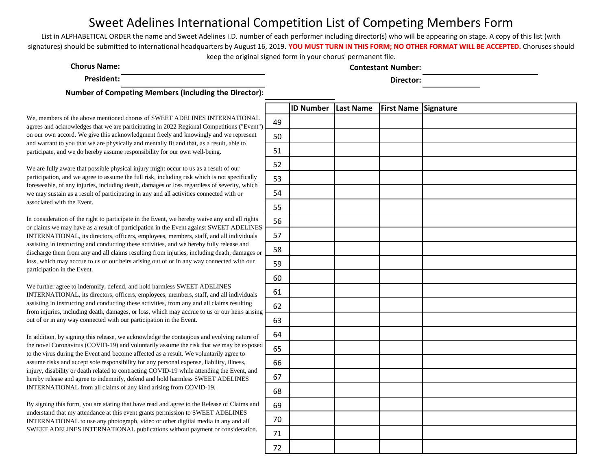List in ALPHABETICAL ORDER the name and Sweet Adelines I.D. number of each performer including director(s) who will be appearing on stage. A copy of this list (with signatures) should be submitted to international headquarters by August 16, 2019. **YOU MUST TURN IN THIS FORM; NO OTHER FORMAT WILL BE ACCEPTED.** Choruses should keep the original signed form in your chorus' permanent file.

**Chorus Name: Contestant Number:**

**President: Director:**

**Number of Competing Members (including the Director):** 

We, members of the above mentioned chorus of SWEET ADELINES INTERNATIONAL agrees and acknowledges that we are participating in 2022 Regional Competitions ("Event") on our own accord. We give this acknowledgment freely and knowingly and we represent and warrant to you that we are physically and mentally fit and that, as a result, able to participate, and we do hereby assume responsibility for our own well-being.

We are fully aware that possible physical injury might occur to us as a result of our participation, and we agree to assume the full risk, including risk which is not specifically foreseeable, of any injuries, including death, damages or loss regardless of severity, which we may sustain as a result of participating in any and all activities connected with or associated with the Event.

In consideration of the right to participate in the Event, we hereby waive any and all rights or claims we may have as a result of participation in the Event against SWEET ADELINES INTERNATIONAL, its directors, officers, employees, members, staff, and all individuals assisting in instructing and conducting these activities, and we hereby fully release and discharge them from any and all claims resulting from injuries, including death, damages or loss, which may accrue to us or our heirs arising out of or in any way connected with our participation in the Event.

We further agree to indemnify, defend, and hold harmless SWEET ADELINES INTERNATIONAL, its directors, officers, employees, members, staff, and all individuals assisting in instructing and conducting these activities, from any and all claims resulting from injuries, including death, damages, or loss, which may accrue to us or our heirs arising out of or in any way connected with our participation in the Event.

In addition, by signing this release, we acknowledge the contagious and evolving nature of the novel Coronavirus (COVID-19) and voluntarily assume the risk that we may be exposed to the virus during the Event and become affected as a result. We voluntarily agree to assume risks and accept sole responsibility for any personal expense, liabiliry, illness, injury, disability or death related to contracting COVID-19 while attending the Event, and hereby release and agree to indemnify, defend and hold harmless SWEET ADELINES INTERNATIONAL from all claims of any kind arising from COVID-19.

|        | <b>ID Number Last Name</b> | First Name Signature |  |
|--------|----------------------------|----------------------|--|
| 49     |                            |                      |  |
| 50     |                            |                      |  |
| 51     |                            |                      |  |
| 52     |                            |                      |  |
| 53     |                            |                      |  |
| 54     |                            |                      |  |
| 55     |                            |                      |  |
| 56     |                            |                      |  |
| 57     |                            |                      |  |
| 58     |                            |                      |  |
| 59     |                            |                      |  |
| 60     |                            |                      |  |
| 61     |                            |                      |  |
| 62     |                            |                      |  |
| 63     |                            |                      |  |
| 64     |                            |                      |  |
| 65     |                            |                      |  |
| 66     |                            |                      |  |
| 67     |                            |                      |  |
| 68     |                            |                      |  |
| 69     |                            |                      |  |
| $70\,$ |                            |                      |  |
| $71\,$ |                            |                      |  |
| $72\,$ |                            |                      |  |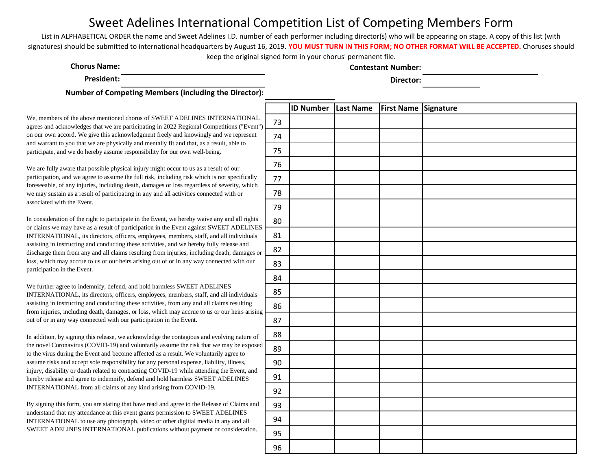List in ALPHABETICAL ORDER the name and Sweet Adelines I.D. number of each performer including director(s) who will be appearing on stage. A copy of this list (with signatures) should be submitted to international headquarters by August 16, 2019. **YOU MUST TURN IN THIS FORM; NO OTHER FORMAT WILL BE ACCEPTED.** Choruses should keep the original signed form in your chorus' permanent file.

**Chorus Name: Contestant Number:**

**President: Director:**

**Number of Competing Members (including the Director):** 

We, members of the above mentioned chorus of SWEET ADELINES INTERNATIONAL agrees and acknowledges that we are participating in 2022 Regional Competitions ("Event") on our own accord. We give this acknowledgment freely and knowingly and we represent and warrant to you that we are physically and mentally fit and that, as a result, able to participate, and we do hereby assume responsibility for our own well-being.

We are fully aware that possible physical injury might occur to us as a result of our participation, and we agree to assume the full risk, including risk which is not specifically foreseeable, of any injuries, including death, damages or loss regardless of severity, which we may sustain as a result of participating in any and all activities connected with or associated with the Event.

In consideration of the right to participate in the Event, we hereby waive any and all rights or claims we may have as a result of participation in the Event against SWEET ADELINES INTERNATIONAL, its directors, officers, employees, members, staff, and all individuals assisting in instructing and conducting these activities, and we hereby fully release and discharge them from any and all claims resulting from injuries, including death, damages or loss, which may accrue to us or our heirs arising out of or in any way connected with our participation in the Event.

We further agree to indemnify, defend, and hold harmless SWEET ADELINES INTERNATIONAL, its directors, officers, employees, members, staff, and all individuals assisting in instructing and conducting these activities, from any and all claims resulting from injuries, including death, damages, or loss, which may accrue to us or our heirs arising out of or in any way connected with our participation in the Event.

In addition, by signing this release, we acknowledge the contagious and evolving nature of the novel Coronavirus (COVID-19) and voluntarily assume the risk that we may be exposed to the virus during the Event and become affected as a result. We voluntarily agree to assume risks and accept sole responsibility for any personal expense, liabiliry, illness, injury, disability or death related to contracting COVID-19 while attending the Event, and hereby release and agree to indemnify, defend and hold harmless SWEET ADELINES INTERNATIONAL from all claims of any kind arising from COVID-19.

|         | <b>ID Number</b> | <b>Last Name</b> | First Name Signature |  |
|---------|------------------|------------------|----------------------|--|
| 73      |                  |                  |                      |  |
| 74      |                  |                  |                      |  |
| 75      |                  |                  |                      |  |
| 76      |                  |                  |                      |  |
| $77 \,$ |                  |                  |                      |  |
| 78      |                  |                  |                      |  |
| 79      |                  |                  |                      |  |
| 80      |                  |                  |                      |  |
| 81      |                  |                  |                      |  |
| 82      |                  |                  |                      |  |
| 83      |                  |                  |                      |  |
| 84      |                  |                  |                      |  |
| 85      |                  |                  |                      |  |
| 86      |                  |                  |                      |  |
| 87      |                  |                  |                      |  |
| 88      |                  |                  |                      |  |
| 89      |                  |                  |                      |  |
| $90\,$  |                  |                  |                      |  |
| 91      |                  |                  |                      |  |
| 92      |                  |                  |                      |  |
| 93      |                  |                  |                      |  |
| 94      |                  |                  |                      |  |
| 95      |                  |                  |                      |  |
| 96      |                  |                  |                      |  |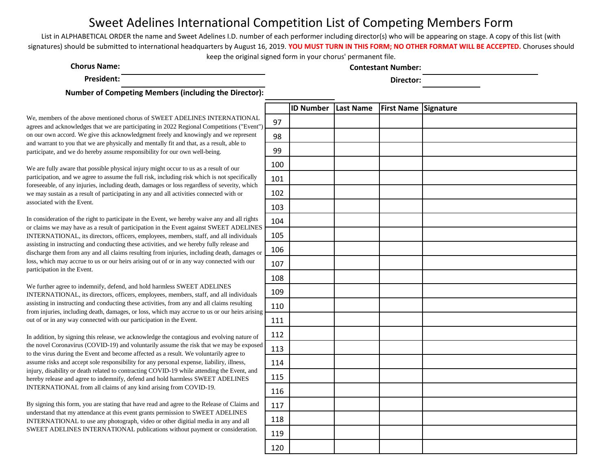List in ALPHABETICAL ORDER the name and Sweet Adelines I.D. number of each performer including director(s) who will be appearing on stage. A copy of this list (with signatures) should be submitted to international headquarters by August 16, 2019. **YOU MUST TURN IN THIS FORM; NO OTHER FORMAT WILL BE ACCEPTED.** Choruses should keep the original signed form in your chorus' permanent file.

**Chorus Name: Contestant Number:**

**President: Director:**

**Number of Competing Members (including the Director):** 

We, members of the above mentioned chorus of SWEET ADELINES INTERNATIONAL agrees and acknowledges that we are participating in 2022 Regional Competitions ("Event") on our own accord. We give this acknowledgment freely and knowingly and we represent and warrant to you that we are physically and mentally fit and that, as a result, able to participate, and we do hereby assume responsibility for our own well-being.

We are fully aware that possible physical injury might occur to us as a result of our participation, and we agree to assume the full risk, including risk which is not specifically foreseeable, of any injuries, including death, damages or loss regardless of severity, which we may sustain as a result of participating in any and all activities connected with or associated with the Event.

In consideration of the right to participate in the Event, we hereby waive any and all rights or claims we may have as a result of participation in the Event against SWEET ADELINES INTERNATIONAL, its directors, officers, employees, members, staff, and all individuals assisting in instructing and conducting these activities, and we hereby fully release and discharge them from any and all claims resulting from injuries, including death, damages or loss, which may accrue to us or our heirs arising out of or in any way connected with our participation in the Event.

We further agree to indemnify, defend, and hold harmless SWEET ADELINES INTERNATIONAL, its directors, officers, employees, members, staff, and all individuals assisting in instructing and conducting these activities, from any and all claims resulting from injuries, including death, damages, or loss, which may accrue to us or our heirs arising out of or in any way connected with our participation in the Event.

In addition, by signing this release, we acknowledge the contagious and evolving nature of the novel Coronavirus (COVID-19) and voluntarily assume the risk that we may be exposed to the virus during the Event and become affected as a result. We voluntarily agree to assume risks and accept sole responsibility for any personal expense, liabiliry, illness, injury, disability or death related to contracting COVID-19 while attending the Event, and hereby release and agree to indemnify, defend and hold harmless SWEET ADELINES INTERNATIONAL from all claims of any kind arising from COVID-19.

|     | <b>ID Number</b> Last Name | First Name Signature |  |
|-----|----------------------------|----------------------|--|
| 97  |                            |                      |  |
| 98  |                            |                      |  |
| 99  |                            |                      |  |
| 100 |                            |                      |  |
| 101 |                            |                      |  |
| 102 |                            |                      |  |
| 103 |                            |                      |  |
| 104 |                            |                      |  |
| 105 |                            |                      |  |
| 106 |                            |                      |  |
| 107 |                            |                      |  |
| 108 |                            |                      |  |
| 109 |                            |                      |  |
| 110 |                            |                      |  |
| 111 |                            |                      |  |
| 112 |                            |                      |  |
| 113 |                            |                      |  |
| 114 |                            |                      |  |
| 115 |                            |                      |  |
| 116 |                            |                      |  |
| 117 |                            |                      |  |
| 118 |                            |                      |  |
| 119 |                            |                      |  |
| 120 |                            |                      |  |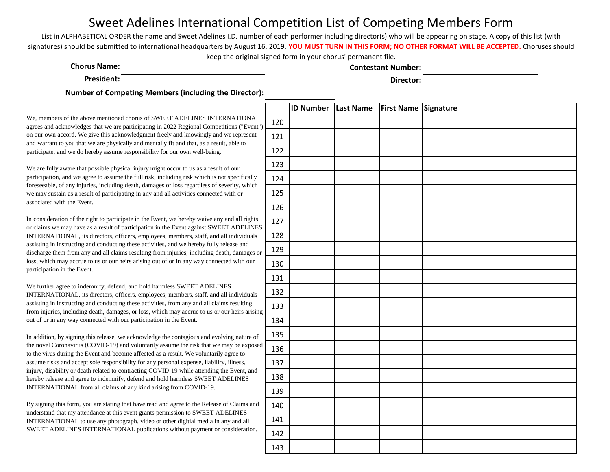List in ALPHABETICAL ORDER the name and Sweet Adelines I.D. number of each performer including director(s) who will be appearing on stage. A copy of this list (with signatures) should be submitted to international headquarters by August 16, 2019. **YOU MUST TURN IN THIS FORM; NO OTHER FORMAT WILL BE ACCEPTED.** Choruses should keep the original signed form in your chorus' permanent file.

**Chorus Name: Contestant Number:**

**President: Director:**

**Number of Competing Members (including the Director):** 

We, members of the above mentioned chorus of SWEET ADELINES INTERNATIONAL agrees and acknowledges that we are participating in 2022 Regional Competitions ("Even on our own accord. We give this acknowledgment freely and knowingly and we represent and warrant to you that we are physically and mentally fit and that, as a result, able to participate, and we do hereby assume responsibility for our own well-being.

We are fully aware that possible physical injury might occur to us as a result of our participation, and we agree to assume the full risk, including risk which is not specifically foreseeable, of any injuries, including death, damages or loss regardless of severity, which we may sustain as a result of participating in any and all activities connected with or associated with the Event.

In consideration of the right to participate in the Event, we hereby waive any and all rights or claims we may have as a result of participation in the Event against SWEET ADELINE INTERNATIONAL, its directors, officers, employees, members, staff, and all individuals assisting in instructing and conducting these activities, and we hereby fully release and discharge them from any and all claims resulting from injuries, including death, damages loss, which may accrue to us or our heirs arising out of or in any way connected with our participation in the Event.

We further agree to indemnify, defend, and hold harmless SWEET ADELINES INTERNATIONAL, its directors, officers, employees, members, staff, and all individuals assisting in instructing and conducting these activities, from any and all claims resulting from injuries, including death, damages, or loss, which may accrue to us or our heirs arising out of or in any way connected with our participation in the Event.

In addition, by signing this release, we acknowledge the contagious and evolving nature of the novel Coronavirus (COVID-19) and voluntarily assume the risk that we may be expose to the virus during the Event and become affected as a result. We voluntarily agree to assume risks and accept sole responsibility for any personal expense, liabiliry, illness, injury, disability or death related to contracting COVID-19 while attending the Event, and hereby release and agree to indemnify, defend and hold harmless SWEET ADELINES INTERNATIONAL from all claims of any kind arising from COVID-19.

|                      |     | <b>ID Number</b> | Last Name | First Name Signature |  |
|----------------------|-----|------------------|-----------|----------------------|--|
| L<br>$t$ ")          | 120 |                  |           |                      |  |
| Į.                   | 121 |                  |           |                      |  |
|                      | 122 |                  |           |                      |  |
|                      | 123 |                  |           |                      |  |
| ŗ                    | 124 |                  |           |                      |  |
| $\mathbf{a}$         | 125 |                  |           |                      |  |
|                      | 126 |                  |           |                      |  |
| $\mathbf{s}$<br>ES   | 127 |                  |           |                      |  |
| $\mathbf{S}$         | 128 |                  |           |                      |  |
| $\alpha$             | 129 |                  |           |                      |  |
|                      | 130 |                  |           |                      |  |
|                      | 131 |                  |           |                      |  |
| j,                   | 132 |                  |           |                      |  |
| ng                   | 133 |                  |           |                      |  |
|                      | 134 |                  |           |                      |  |
| $\mathbf f$          | 135 |                  |           |                      |  |
| ed                   | 136 |                  |           |                      |  |
|                      | 137 |                  |           |                      |  |
| $\mathbf{I}$         | 138 |                  |           |                      |  |
|                      | 139 |                  |           |                      |  |
| d                    | 140 |                  |           |                      |  |
|                      | 141 |                  |           |                      |  |
| $\ddot{\phantom{0}}$ | 142 |                  |           |                      |  |
|                      | 143 |                  |           |                      |  |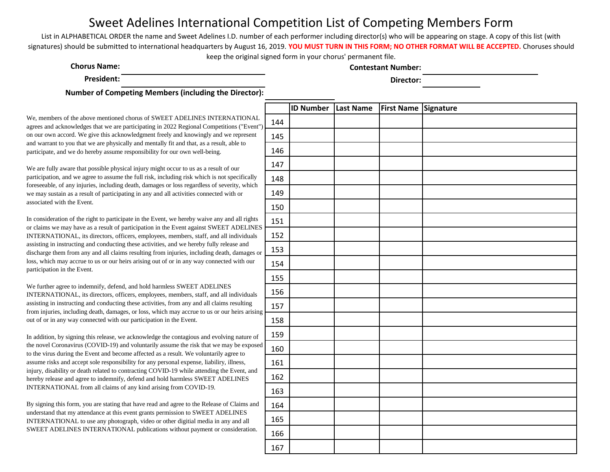List in ALPHABETICAL ORDER the name and Sweet Adelines I.D. number of each performer including director(s) who will be appearing on stage. A copy of this list (with signatures) should be submitted to international headquarters by August 16, 2019. **YOU MUST TURN IN THIS FORM; NO OTHER FORMAT WILL BE ACCEPTED.** Choruses should keep the original signed form in your chorus' permanent file.

**Chorus Name: Contestant Number:**

**President: Director:**

**Number of Competing Members (including the Director):** 

We, members of the above mentioned chorus of SWEET ADELINES INTERNATIONAL agrees and acknowledges that we are participating in 2022 Regional Competitions ("Event") on our own accord. We give this acknowledgment freely and knowingly and we represent and warrant to you that we are physically and mentally fit and that, as a result, able to participate, and we do hereby assume responsibility for our own well-being.

We are fully aware that possible physical injury might occur to us as a result of our participation, and we agree to assume the full risk, including risk which is not specifically foreseeable, of any injuries, including death, damages or loss regardless of severity, which we may sustain as a result of participating in any and all activities connected with or associated with the Event.

In consideration of the right to participate in the Event, we hereby waive any and all rights or claims we may have as a result of participation in the Event against SWEET ADELINES INTERNATIONAL, its directors, officers, employees, members, staff, and all individuals assisting in instructing and conducting these activities, and we hereby fully release and discharge them from any and all claims resulting from injuries, including death, damages or loss, which may accrue to us or our heirs arising out of or in any way connected with our participation in the Event.

We further agree to indemnify, defend, and hold harmless SWEET ADELINES INTERNATIONAL, its directors, officers, employees, members, staff, and all individuals assisting in instructing and conducting these activities, from any and all claims resulting from injuries, including death, damages, or loss, which may accrue to us or our heirs arising out of or in any way connected with our participation in the Event.

In addition, by signing this release, we acknowledge the contagious and evolving nature of the novel Coronavirus (COVID-19) and voluntarily assume the risk that we may be exposed to the virus during the Event and become affected as a result. We voluntarily agree to assume risks and accept sole responsibility for any personal expense, liabiliry, illness, injury, disability or death related to contracting COVID-19 while attending the Event, and hereby release and agree to indemnify, defend and hold harmless SWEET ADELINES INTERNATIONAL from all claims of any kind arising from COVID-19.

|                     | <b>ID Number</b> Last Name | First Name Signature |  |
|---------------------|----------------------------|----------------------|--|
| 144                 |                            |                      |  |
| 145                 |                            |                      |  |
| 146                 |                            |                      |  |
| 147                 |                            |                      |  |
| 148                 |                            |                      |  |
| 149                 |                            |                      |  |
| 150                 |                            |                      |  |
| 151                 |                            |                      |  |
| 152                 |                            |                      |  |
| 153                 |                            |                      |  |
| 154                 |                            |                      |  |
| 155                 |                            |                      |  |
| 156                 |                            |                      |  |
| 157<br>š            |                            |                      |  |
| 158                 |                            |                      |  |
| 159                 |                            |                      |  |
| $\mathbf{1}$<br>160 |                            |                      |  |
| 161                 |                            |                      |  |
| 162                 |                            |                      |  |
| 163                 |                            |                      |  |
| 164                 |                            |                      |  |
| 165                 |                            |                      |  |
| 166                 |                            |                      |  |
| 167                 |                            |                      |  |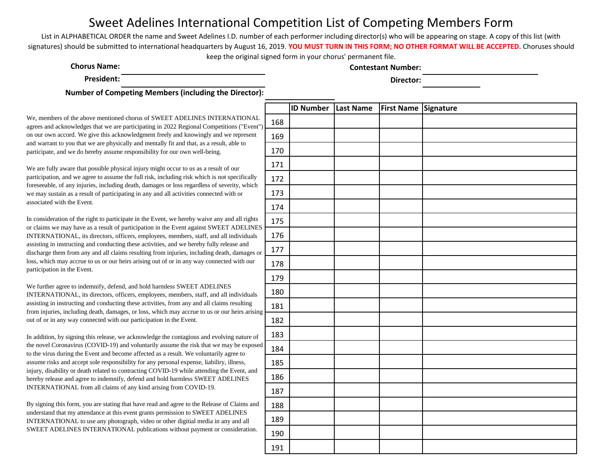List in ALPHABETICAL ORDER the name and Sweet Adelines I.D. number of each performer including director(s) who will be appearing on stage. A copy of this list (with signatures) should be submitted to international headquarters by August 16, 2019. **YOU MUST TURN IN THIS FORM; NO OTHER FORMAT WILL BE ACCEPTED.** Choruses should keep the original signed form in your chorus' permanent file.

**Chorus Name: Contestant Number:**

**President: Director:**

**Number of Competing Members (including the Director):** 

We, members of the above mentioned chorus of SWEET ADELINES INTERNATIONAL agrees and acknowledges that we are participating in 2022 Regional Competitions ("Event") on our own accord. We give this acknowledgment freely and knowingly and we represent and warrant to you that we are physically and mentally fit and that, as a result, able to participate, and we do hereby assume responsibility for our own well-being.

We are fully aware that possible physical injury might occur to us as a result of our participation, and we agree to assume the full risk, including risk which is not specifically foreseeable, of any injuries, including death, damages or loss regardless of severity, which we may sustain as a result of participating in any and all activities connected with or associated with the Event.

In consideration of the right to participate in the Event, we hereby waive any and all rights or claims we may have as a result of participation in the Event against SWEET ADELINES INTERNATIONAL, its directors, officers, employees, members, staff, and all individuals assisting in instructing and conducting these activities, and we hereby fully release and discharge them from any and all claims resulting from injuries, including death, damages or loss, which may accrue to us or our heirs arising out of or in any way connected with our participation in the Event.

We further agree to indemnify, defend, and hold harmless SWEET ADELINES INTERNATIONAL, its directors, officers, employees, members, staff, and all individuals assisting in instructing and conducting these activities, from any and all claims resulting from injuries, including death, damages, or loss, which may accrue to us or our heirs arising out of or in any way connected with our participation in the Event.

In addition, by signing this release, we acknowledge the contagious and evolving nature of the novel Coronavirus (COVID-19) and voluntarily assume the risk that we may be exposed to the virus during the Event and become affected as a result. We voluntarily agree to assume risks and accept sole responsibility for any personal expense, liabiliry, illness, injury, disability or death related to contracting COVID-19 while attending the Event, and hereby release and agree to indemnify, defend and hold harmless SWEET ADELINES INTERNATIONAL from all claims of any kind arising from COVID-19.

|                                | <b>ID Number</b> Last Name | First Name Signature |  |
|--------------------------------|----------------------------|----------------------|--|
| 168<br>$\mathcal{L}$           |                            |                      |  |
| 169                            |                            |                      |  |
| 170                            |                            |                      |  |
| 171                            |                            |                      |  |
| 172                            |                            |                      |  |
| 173                            |                            |                      |  |
| 174                            |                            |                      |  |
| 175<br>$\overline{\mathbf{S}}$ |                            |                      |  |
| 176                            |                            |                      |  |
| 177<br>$\mathbf{r}$            |                            |                      |  |
| 178                            |                            |                      |  |
| 179                            |                            |                      |  |
| 180                            |                            |                      |  |
| 181<br>g                       |                            |                      |  |
| 182                            |                            |                      |  |
| 183                            |                            |                      |  |
| d<br>184                       |                            |                      |  |
| 185                            |                            |                      |  |
| 186                            |                            |                      |  |
| 187                            |                            |                      |  |
| 188                            |                            |                      |  |
| 189                            |                            |                      |  |
| 190                            |                            |                      |  |
| 191                            |                            |                      |  |